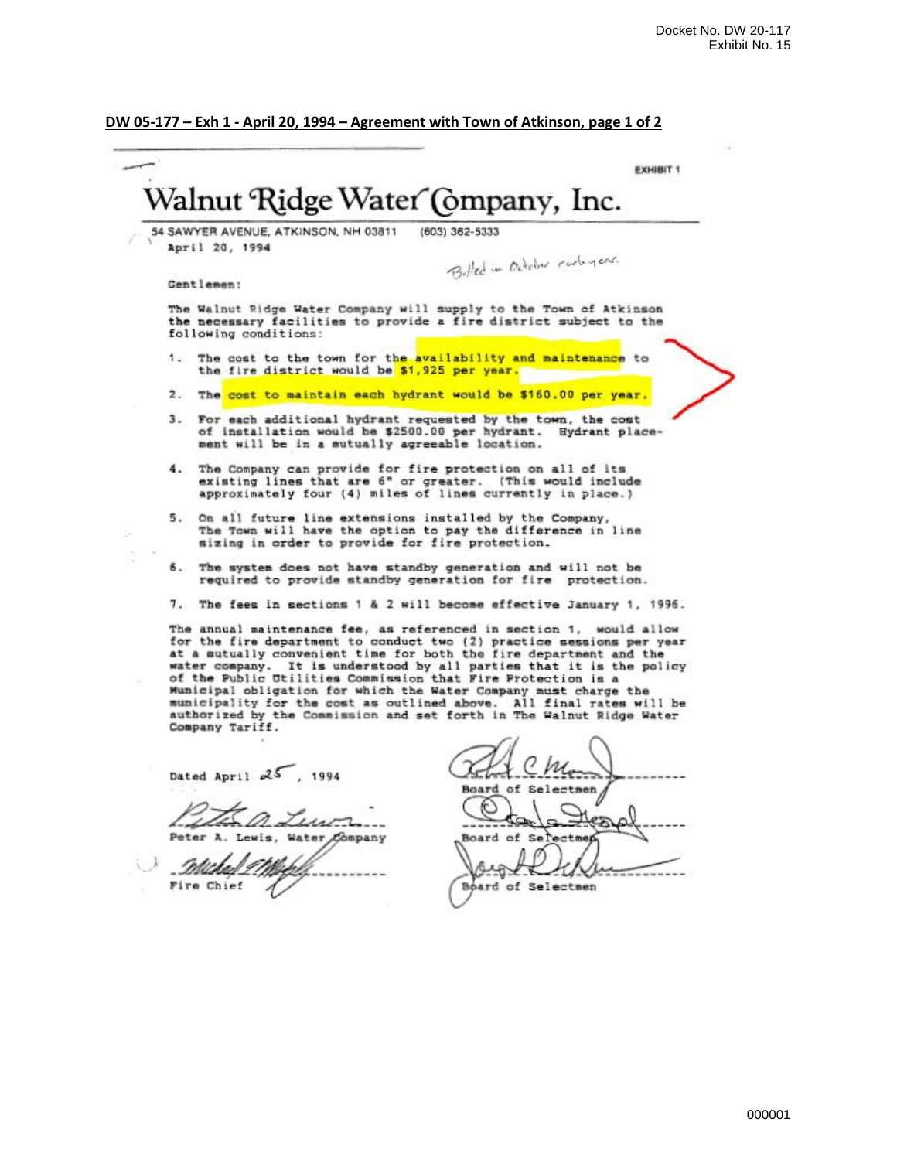# **DW 05-177 – Exh 1 - April 20, 1994 – Agreement with Town of Atkinson, page 1 of 2**

|     | 54 SAWYER AVENUE, ATKINSON, NH 03811<br>(603) 362-5333<br>April 20, 1994<br>Billed in October early year.                                                                                                                                                                                                                                                                                                                                                                                                                                                                                         |
|-----|---------------------------------------------------------------------------------------------------------------------------------------------------------------------------------------------------------------------------------------------------------------------------------------------------------------------------------------------------------------------------------------------------------------------------------------------------------------------------------------------------------------------------------------------------------------------------------------------------|
|     | Gentlemen:                                                                                                                                                                                                                                                                                                                                                                                                                                                                                                                                                                                        |
|     | The Walnut Ridge Water Company will supply to the Town of Atkinson<br>the necessary facilities to provide a fire district subject to the<br>following conditions:                                                                                                                                                                                                                                                                                                                                                                                                                                 |
| 1.1 | The cost to the town for the availability and maintenance to<br>the fire district would be \$1,925 per year.                                                                                                                                                                                                                                                                                                                                                                                                                                                                                      |
|     | 2. The cost to maintain each hydrant would be \$160.00 per year.                                                                                                                                                                                                                                                                                                                                                                                                                                                                                                                                  |
| 3.  | For each additional hydrant requested by the town, the cost<br>of installation would be \$2500.00 per hydrant. Hydrant place-<br>ment will be in a mutually agreeable location.                                                                                                                                                                                                                                                                                                                                                                                                                   |
|     | 4. The Company can provide for fire protection on all of its<br>existing lines that are 6" or greater. (This would include<br>approximately four (4) miles of lines currently in place.)                                                                                                                                                                                                                                                                                                                                                                                                          |
| 5.  | On all future line extensions installed by the Company,<br>The Town will have the option to pay the difference in line<br>sizing in order to provide for fire protection.                                                                                                                                                                                                                                                                                                                                                                                                                         |
| 6.  | The system does not have standby generation and will not be<br>required to provide standby generation for fire protection.                                                                                                                                                                                                                                                                                                                                                                                                                                                                        |
| 7.  | The fees in sections 1 & 2 will become effective January 1, 1996.                                                                                                                                                                                                                                                                                                                                                                                                                                                                                                                                 |
|     | The annual maintenance fee, as referenced in section 1, would allow<br>for the fire department to conduct two (2) practice sessions per year<br>at a mutually convenient time for both the fire department and the<br>water company. It is understood by all parties that it is the policy<br>of the Public Utilities Commission that Fire Protection is a<br>Municipal obligation for which the Water Company must charge the<br>municipality for the comt as outlined above. All final rates will be<br>authorized by the Commission and set forth in The Walnut Ridge Water<br>Company Tariff. |
|     | Dated April $25$ , 1994                                                                                                                                                                                                                                                                                                                                                                                                                                                                                                                                                                           |
|     | .<br>Board of Selectmen<br>Peter A. Lewis, Water Company                                                                                                                                                                                                                                                                                                                                                                                                                                                                                                                                          |
|     | Fire Chief<br>Board of Selectmen                                                                                                                                                                                                                                                                                                                                                                                                                                                                                                                                                                  |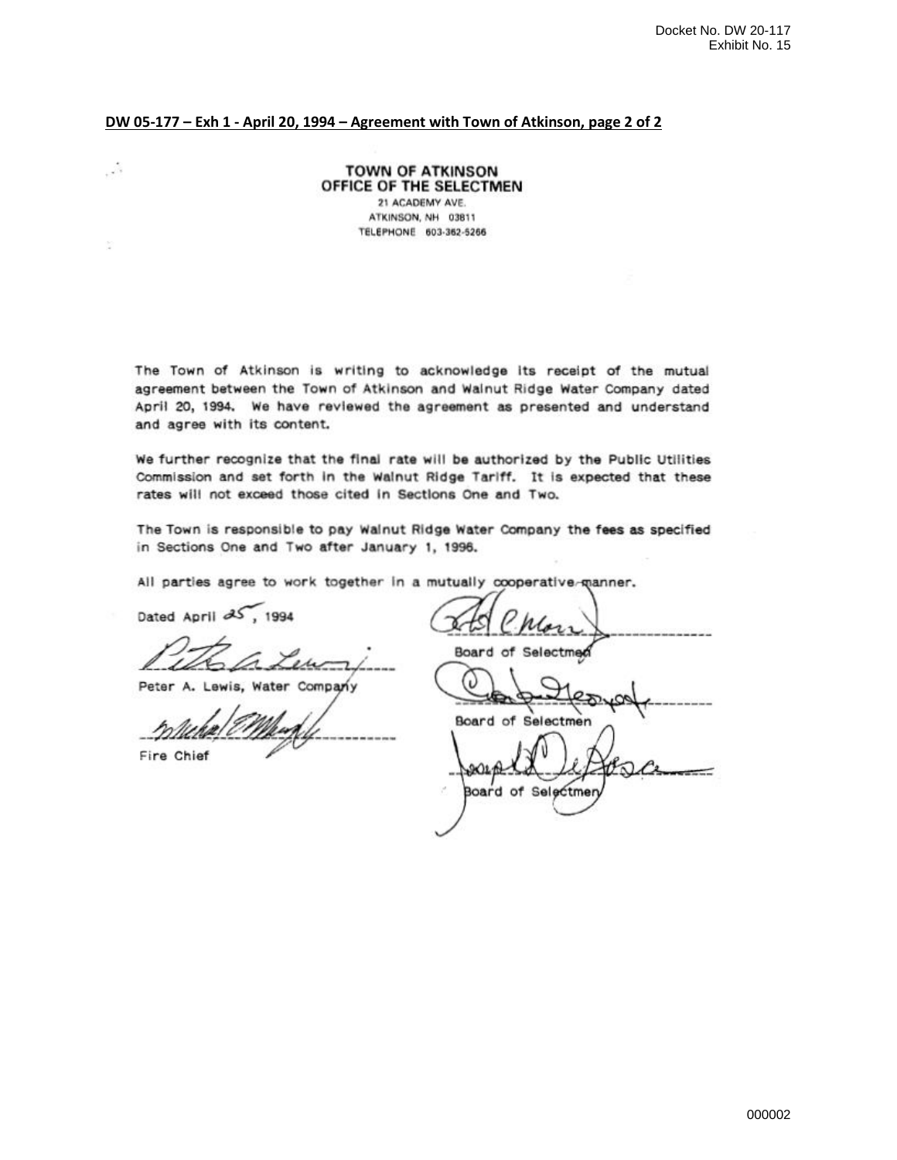### DW 05-177 - Exh 1 - April 20, 1994 - Agreement with Town of Atkinson, page 2 of 2

**TOWN OF ATKINSON** OFFICE OF THE SELECTMEN 21 ACADEMY AVE. ATKINSON, NH 03811 TELEPHONE 603-362-5266

The Town of Atkinson is writing to acknowledge its receipt of the mutual agreement between the Town of Atkinson and Wainut Ridge Water Company dated April 20, 1994. We have reviewed the agreement as presented and understand and agree with its content.

We further recognize that the final rate will be authorized by the Public Utilities Commission and set forth in the Walnut Ridge Tariff. It is expected that these rates will not exceed those cited in Sections One and Two.

The Town is responsible to pay Walnut Ridge Water Company the fees as specified in Sections One and Two after January 1, 1996.

All parties agree to work together in a mutually cooperative-manner.

Dated April 25, 1994

Peter A. Lewis, Water Company

Fire Chief

 $\sim$ 

Board of Selectmed

**Board of Selectme** 

AQ1 **Board of Selectme**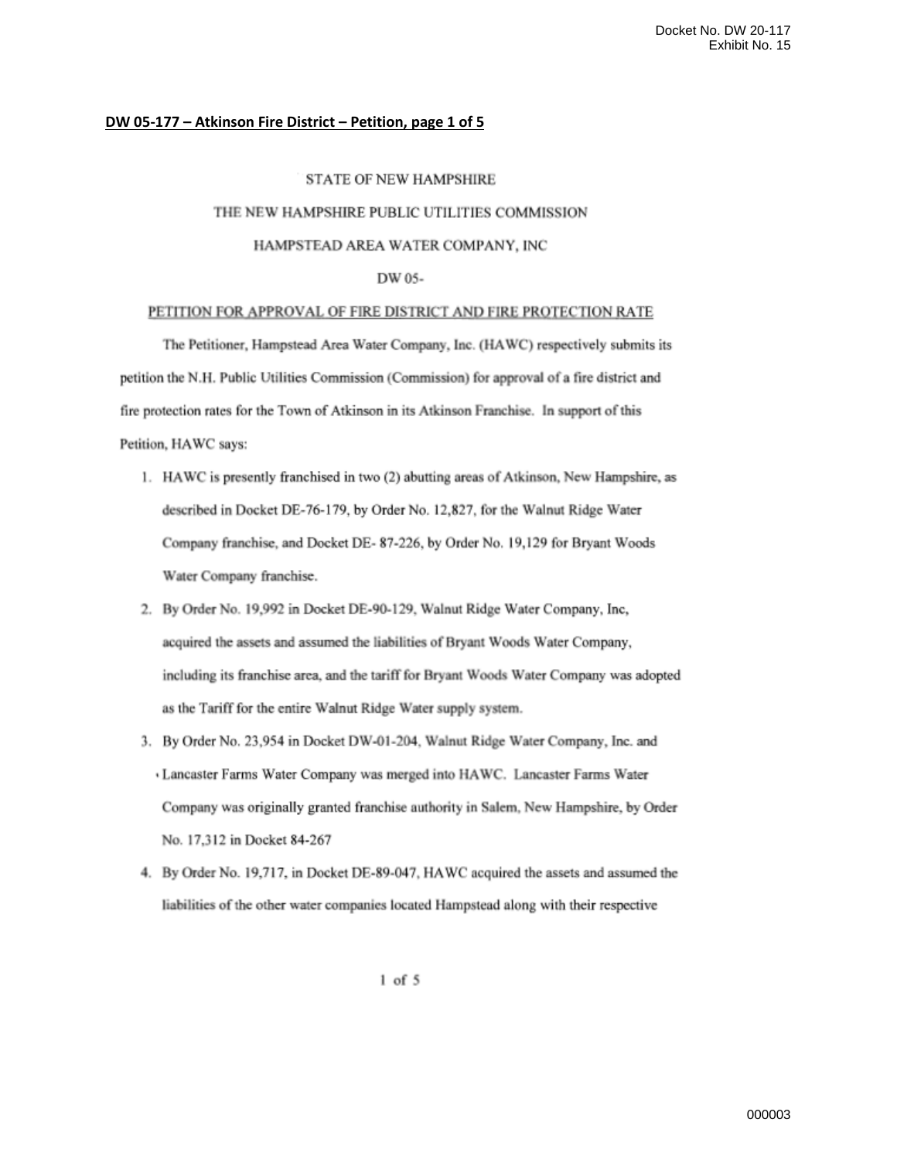#### DW 05-177 - Atkinson Fire District - Petition, page 1 of 5

#### **STATE OF NEW HAMPSHIRE**

#### THE NEW HAMPSHIRE PUBLIC UTILITIES COMMISSION

#### HAMPSTEAD AREA WATER COMPANY, INC

#### DW 05-

#### PETITION FOR APPROVAL OF FIRE DISTRICT AND FIRE PROTECTION RATE

The Petitioner, Hampstead Area Water Company, Inc. (HAWC) respectively submits its petition the N.H. Public Utilities Commission (Commission) for approval of a fire district and fire protection rates for the Town of Atkinson in its Atkinson Franchise. In support of this Petition, HAWC says:

- 1. HAWC is presently franchised in two (2) abutting areas of Atkinson, New Hampshire, as described in Docket DE-76-179, by Order No. 12,827, for the Walnut Ridge Water Company franchise, and Docket DE-87-226, by Order No. 19,129 for Bryant Woods Water Company franchise.
- 2. By Order No. 19,992 in Docket DE-90-129, Walnut Ridge Water Company, Inc, acquired the assets and assumed the liabilities of Bryant Woods Water Company, including its franchise area, and the tariff for Bryant Woods Water Company was adopted as the Tariff for the entire Walnut Ridge Water supply system.
- 3. By Order No. 23,954 in Docket DW-01-204, Walnut Ridge Water Company, Inc. and Lancaster Farms Water Company was merged into HAWC. Lancaster Farms Water Company was originally granted franchise authority in Salem, New Hampshire, by Order No. 17,312 in Docket 84-267
- 4. By Order No. 19,717, in Docket DE-89-047, HAWC acquired the assets and assumed the liabilities of the other water companies located Hampstead along with their respective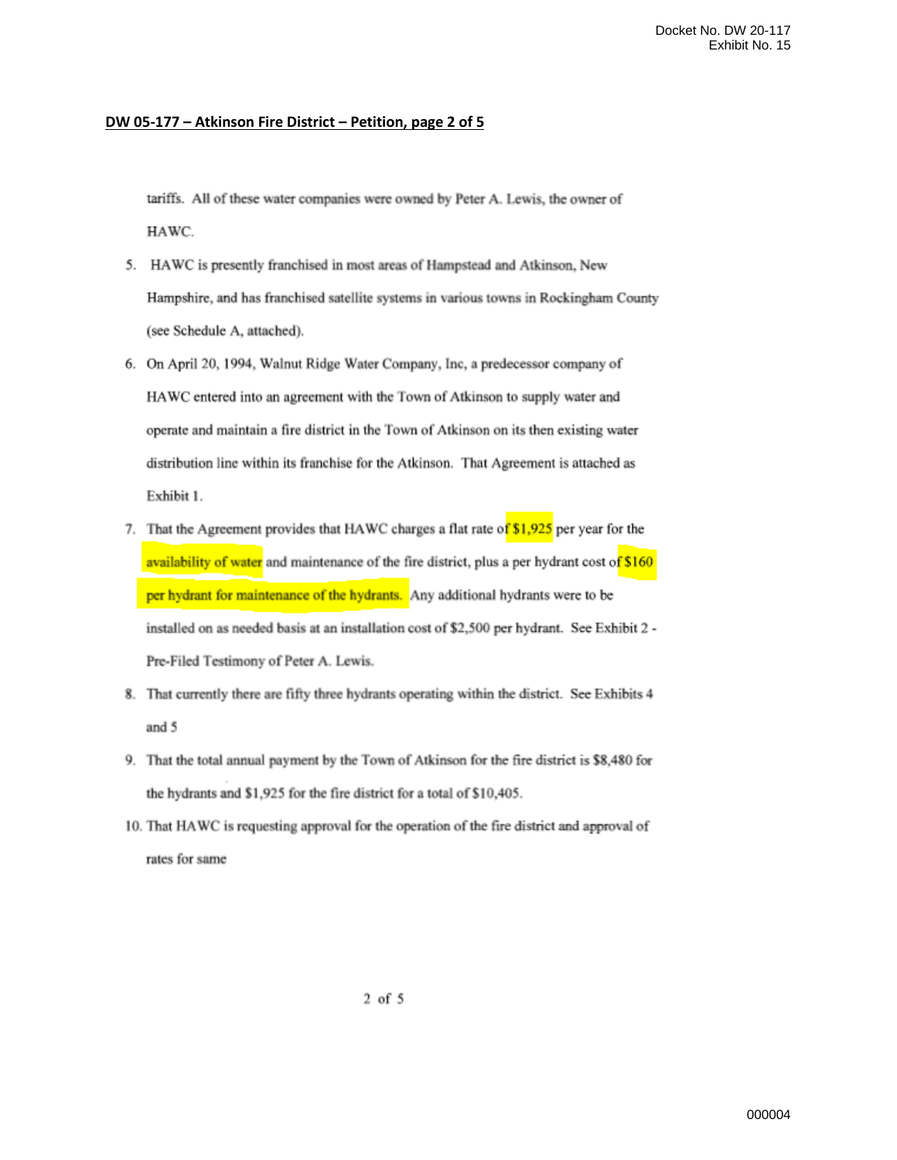### **DW 05-177 – Atkinson Fire District – Petition, page 2 of 5**

tariffs. All of these water companies were owned by Peter A. Lewis, the owner of HAWC.

- 5. HAWC is presently franchised in most areas of Hampstead and Atkinson, New Hampshire, and has franchised satellite systems in various towns in Rockingham County (see Schedule A, attached).
- 6. On April 20, 1994, Walnut Ridge Water Company, Inc, a predecessor company of HAWC entered into an agreement with the Town of Atkinson to supply water and operate and maintain a fire district in the Town of Atkinson on its then existing water distribution line within its franchise for the Atkinson. That Agreement is attached as Exhibit 1.
- 7. That the Agreement provides that HAWC charges a flat rate of \$1,925 per year for the availability of water and maintenance of the fire district, plus a per hydrant cost of \$160 per hydrant for maintenance of the hydrants. Any additional hydrants were to be installed on as needed basis at an installation cost of \$2,500 per hydrant. See Exhibit 2 -Pre-Filed Testimony of Peter A. Lewis.
- 8. That currently there are fifty three hydrants operating within the district. See Exhibits 4 and 5
- 9. That the total annual payment by the Town of Atkinson for the fire district is \$8,480 for the hydrants and \$1,925 for the fire district for a total of \$10,405.
- 10. That HAWC is requesting approval for the operation of the fire district and approval of rates for same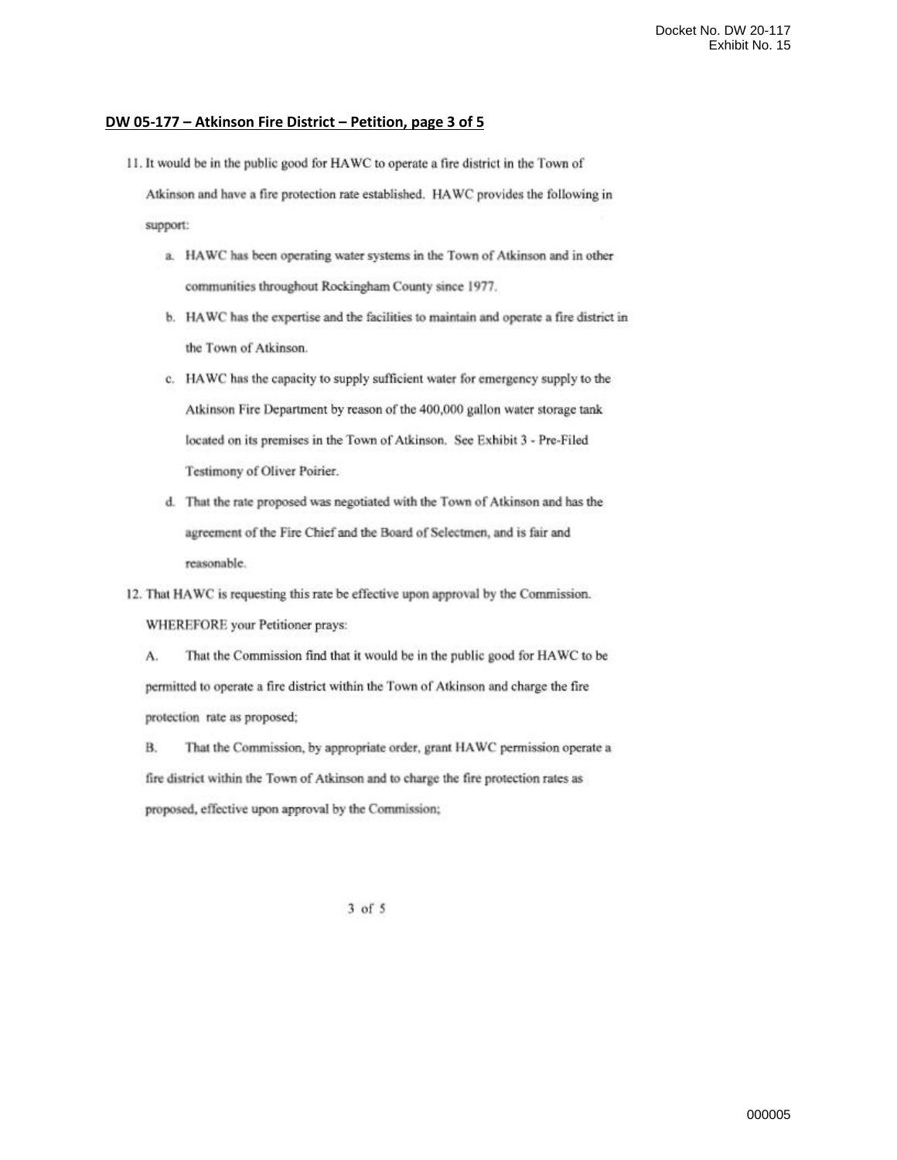#### DW 05-177 – Atkinson Fire District – Petition, page 3 of 5

11. It would be in the public good for HAWC to operate a fire district in the Town of

Atkinson and have a fire protection rate established. HAWC provides the following in support:

- a. HAWC has been operating water systems in the Town of Atkinson and in other communities throughout Rockingham County since 1977.
- b. HAWC has the expertise and the facilities to maintain and operate a fire district in the Town of Atkinson.
- c. HAWC has the capacity to supply sufficient water for emergency supply to the Atkinson Fire Department by reason of the 400,000 gallon water storage tank located on its premises in the Town of Atkinson. See Exhibit 3 - Pre-Filed Testimony of Oliver Poirier.
- d. That the rate proposed was negotiated with the Town of Atkinson and has the agreement of the Fire Chief and the Board of Selectmen, and is fair and reasonable.

12. That HAWC is requesting this rate be effective upon approval by the Commission. WHEREFORE your Petitioner prays:

A. That the Commission find that it would be in the public good for HAWC to be permitted to operate a fire district within the Town of Atkinson and charge the fire protection rate as proposed;

**B.** That the Commission, by appropriate order, grant HAWC permission operate a fire district within the Town of Atkinson and to charge the fire protection rates as proposed, effective upon approval by the Commission;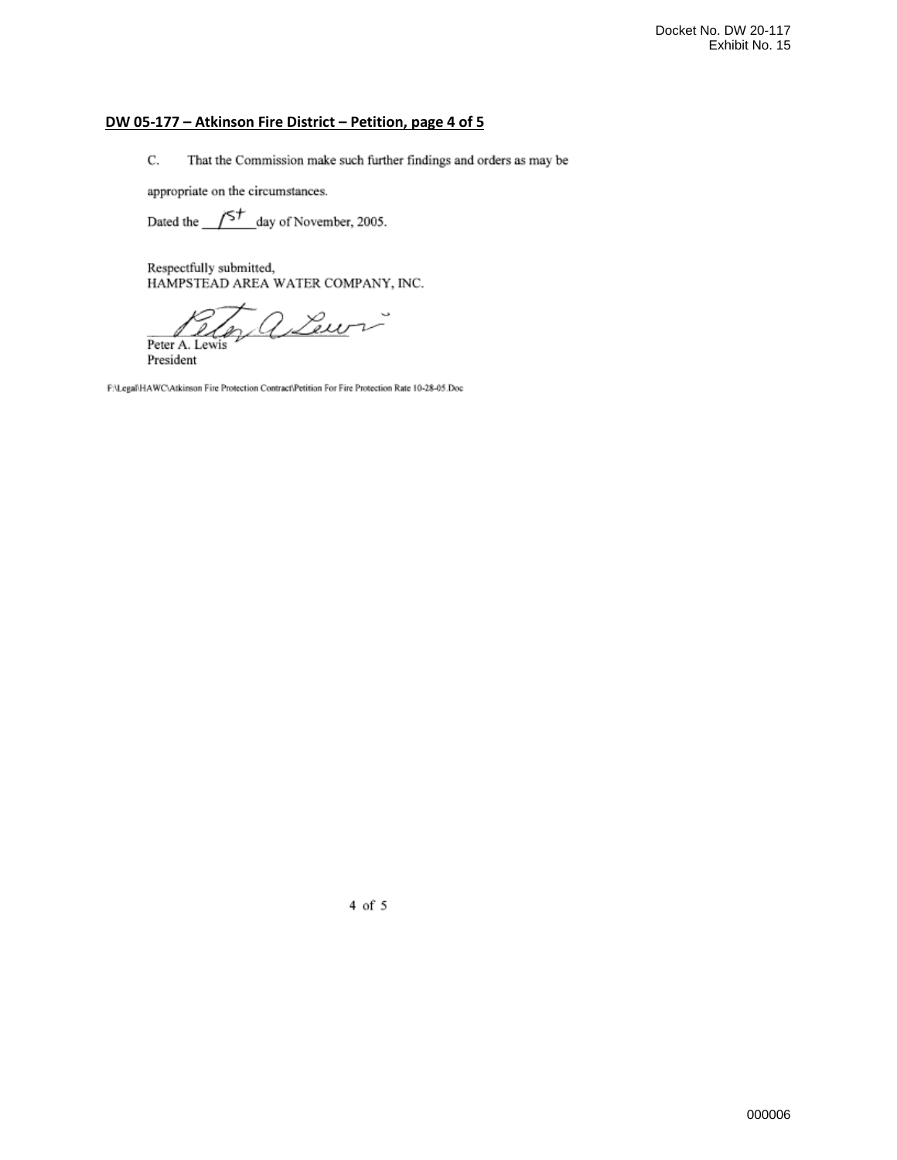# **DW 05-177 – Atkinson Fire District – Petition, page 4 of 5**

 $\mathbf C.$ That the Commission make such further findings and orders as may be

appropriate on the circumstances.

Dated the  $\sqrt{5^{+}}$  day of November, 2005.

Respectfully submitted, HAMPSTEAD AREA WATER COMPANY, INC.

2 Lewis

Peter A. Lewis President

F:\Legal\HAWC\Atkinson Fire Protection Contract\Petition For Fire Protection Rate 10-28-05.Doc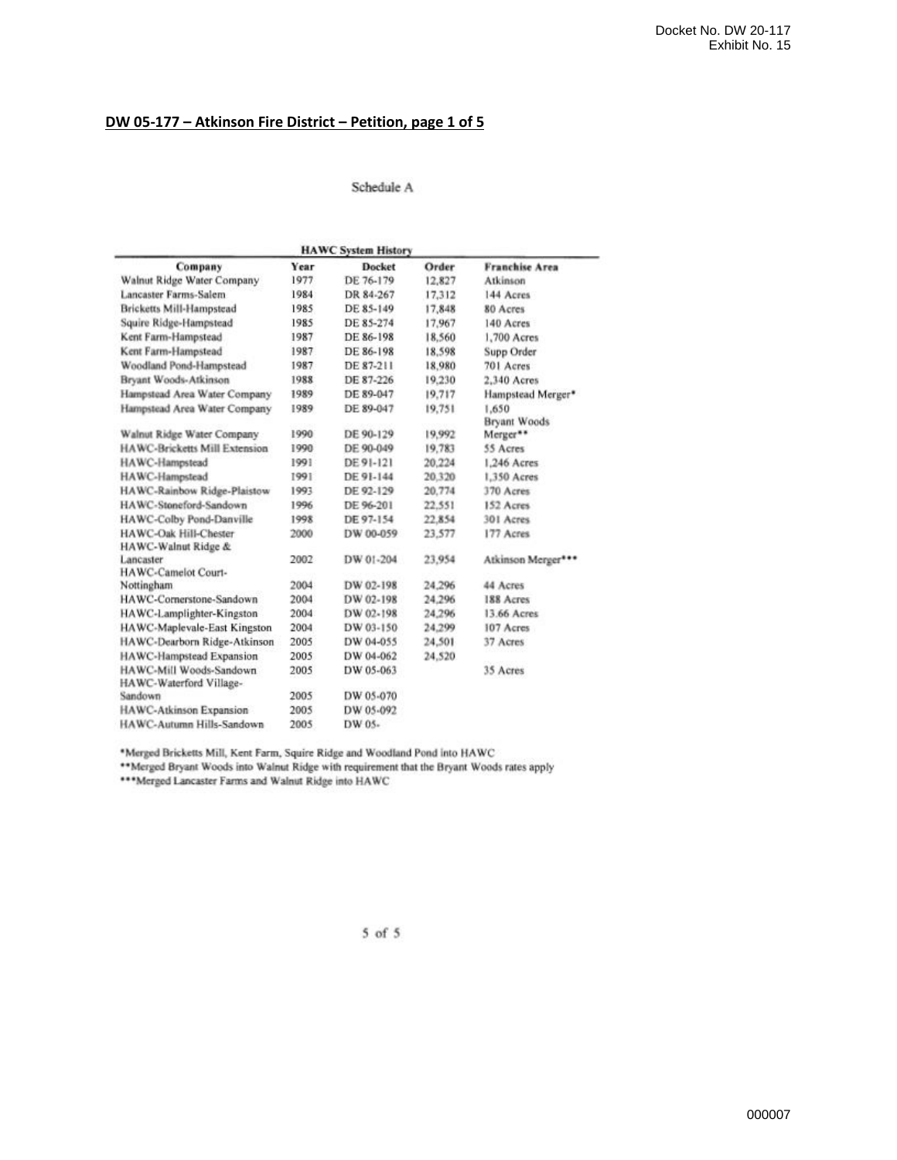## **DW 05-177 – Atkinson Fire District – Petition, page 1 of 5**

#### Schedule A

| <b>HAWC System History</b>                         |      |               |        |                       |  |  |
|----------------------------------------------------|------|---------------|--------|-----------------------|--|--|
| Company                                            | Year | <b>Docket</b> | Order  | <b>Franchise Area</b> |  |  |
| Walnut Ridge Water Company                         | 1977 | DE 76-179     | 12,827 | Atkinson              |  |  |
| Lancaster Farms-Salem                              | 1984 | DR 84-267     | 17,312 | 144 Acres             |  |  |
| Bricketts Mill-Hampstead                           | 1985 | DE 85-149     | 17,848 | 80 Acres              |  |  |
| Squire Ridge-Hampstead                             | 1985 | DE 85-274     | 17,967 | 140 Acres             |  |  |
| Kent Farm-Hampstead                                | 1987 | DE 86-198     | 18,560 | 1,700 Acres           |  |  |
| Kent Farm-Hampstead                                | 1987 | DE 86-198     | 18,598 | Supp Order            |  |  |
| Woodland Pond-Hampstead                            | 1987 | DE 87-211     | 18,980 | 701 Acres             |  |  |
| Bryant Woods-Atkinson                              | 1988 | DE 87-226     | 19,230 | 2,340 Acres           |  |  |
| Hampstead Area Water Company                       | 1989 | DE 89-047     | 19.717 | Hampstead Merger*     |  |  |
| Hampstead Area Water Company                       | 1989 | DE 89-047     | 19,751 | 1.650                 |  |  |
|                                                    |      |               |        | <b>Bryant Woods</b>   |  |  |
| Walnut Ridge Water Company                         | 1990 | DE 90-129     | 19,992 | Merger**              |  |  |
| HAWC-Bricketts Mill Extension                      | 1990 | DE 90-049     | 19.783 | 55 Acres              |  |  |
| HAWC-Hampstead                                     | 1991 | DE 91-121     | 20,224 | 1,246 Acres           |  |  |
| HAWC-Hampstead                                     | 1991 | DE 91-144     | 20.320 | 1.350 Acres           |  |  |
| HAWC-Rainbow Ridge-Plaistow                        | 1993 | DE 92-129     | 20,774 | 370 Acres             |  |  |
| HAWC-Stoneford-Sandown                             | 1996 | DE 96-201     | 22.551 | 152 Acres             |  |  |
| HAWC-Colby Pond-Danville                           | 1998 | DE 97-154     | 22.854 | 301 Acres             |  |  |
| HAWC-Oak Hill-Chester<br>HAWC-Walnut Ridge &       | 2000 | DW 00-059     | 23,577 | 177 Acres             |  |  |
| Lancaster<br>HAWC-Camelot Court-                   | 2002 | DW 01-204     | 23,954 | Atkinson Merger***    |  |  |
| Nottingham                                         | 2004 | DW 02-198     | 24,296 | 44 Acres              |  |  |
| HAWC-Cornerstone-Sandown                           | 2004 | DW 02-198     | 24,296 | 188 Acres             |  |  |
| HAWC-Lamplighter-Kingston                          | 2004 | DW 02-198     | 24,296 | 13.66 Acres           |  |  |
| HAWC-Maplevale-East Kingston                       | 2004 | DW 03-150     | 24.299 | 107 Acres             |  |  |
| HAWC-Dearborn Ridge-Atkinson                       | 2005 | DW 04-055     | 24,501 | 37 Acres              |  |  |
| HAWC-Hampstead Expansion                           | 2005 | DW 04-062     | 24,520 |                       |  |  |
| HAWC-Mill Woods-Sandown<br>HAWC-Waterford Village- | 2005 | DW 05-063     |        | 35 Acres              |  |  |
| Sandown                                            | 2005 | DW 05-070     |        |                       |  |  |
| HAWC-Atkinson Expansion                            | 2005 | DW 05-092     |        |                       |  |  |
| HAWC-Autumn Hills-Sandown                          | 2005 | DW 05-        |        |                       |  |  |
|                                                    |      |               |        |                       |  |  |

\*Merged Bricketts Mill, Kent Farm, Squire Ridge and Woodland Pond into HAWC<br>\*\*Merged Bryant Woods into Walnut Ridge with requirement that the Bryant Woods rates apply<br>\*\*\*Merged Lancaster Farms and Walnut Ridge into HAWC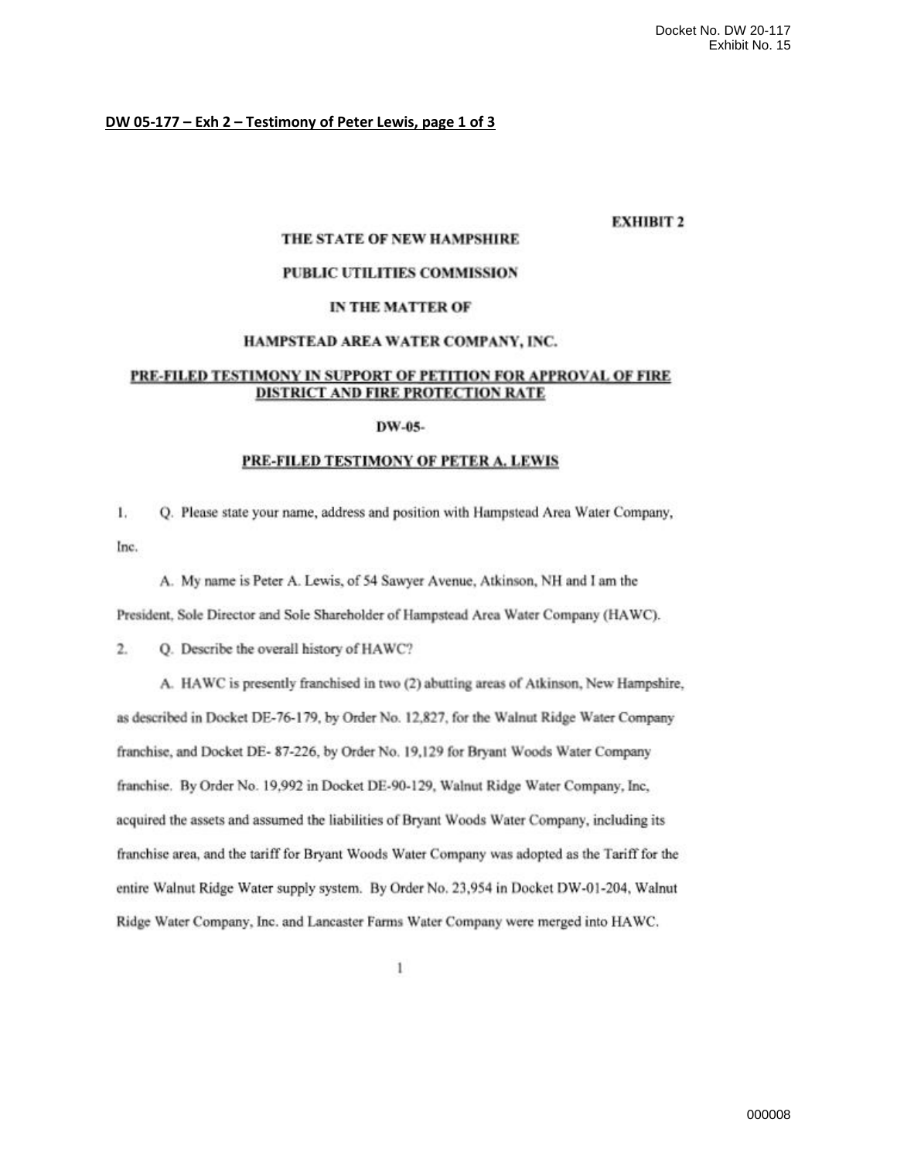#### DW 05-177 - Exh 2 - Testimony of Peter Lewis, page 1 of 3

## **EXHIBIT 2**

#### THE STATE OF NEW HAMPSHIRE

### PUBLIC UTILITIES COMMISSION

#### IN THE MATTER OF

#### HAMPSTEAD AREA WATER COMPANY, INC.

### PRE-FILED TESTIMONY IN SUPPORT OF PETITION FOR APPROVAL OF FIRE DISTRICT AND FIRE PROTECTION RATE

#### DW-05-

#### PRE-FILED TESTIMONY OF PETER A. LEWIS

 $1.$ Q. Please state your name, address and position with Hampstead Area Water Company, Inc.

A. My name is Peter A. Lewis, of 54 Sawyer Avenue, Atkinson, NH and I am the

President, Sole Director and Sole Shareholder of Hampstead Area Water Company (HAWC).

 $2.$ Q. Describe the overall history of HAWC?

A. HAWC is presently franchised in two (2) abutting areas of Atkinson, New Hampshire, as described in Docket DE-76-179, by Order No. 12,827, for the Walnut Ridge Water Company franchise, and Docket DE-87-226, by Order No. 19,129 for Bryant Woods Water Company franchise. By Order No. 19,992 in Docket DE-90-129, Walnut Ridge Water Company, Inc. acquired the assets and assumed the liabilities of Bryant Woods Water Company, including its franchise area, and the tariff for Bryant Woods Water Company was adopted as the Tariff for the entire Walnut Ridge Water supply system. By Order No. 23,954 in Docket DW-01-204, Walnut Ridge Water Company, Inc. and Lancaster Farms Water Company were merged into HAWC.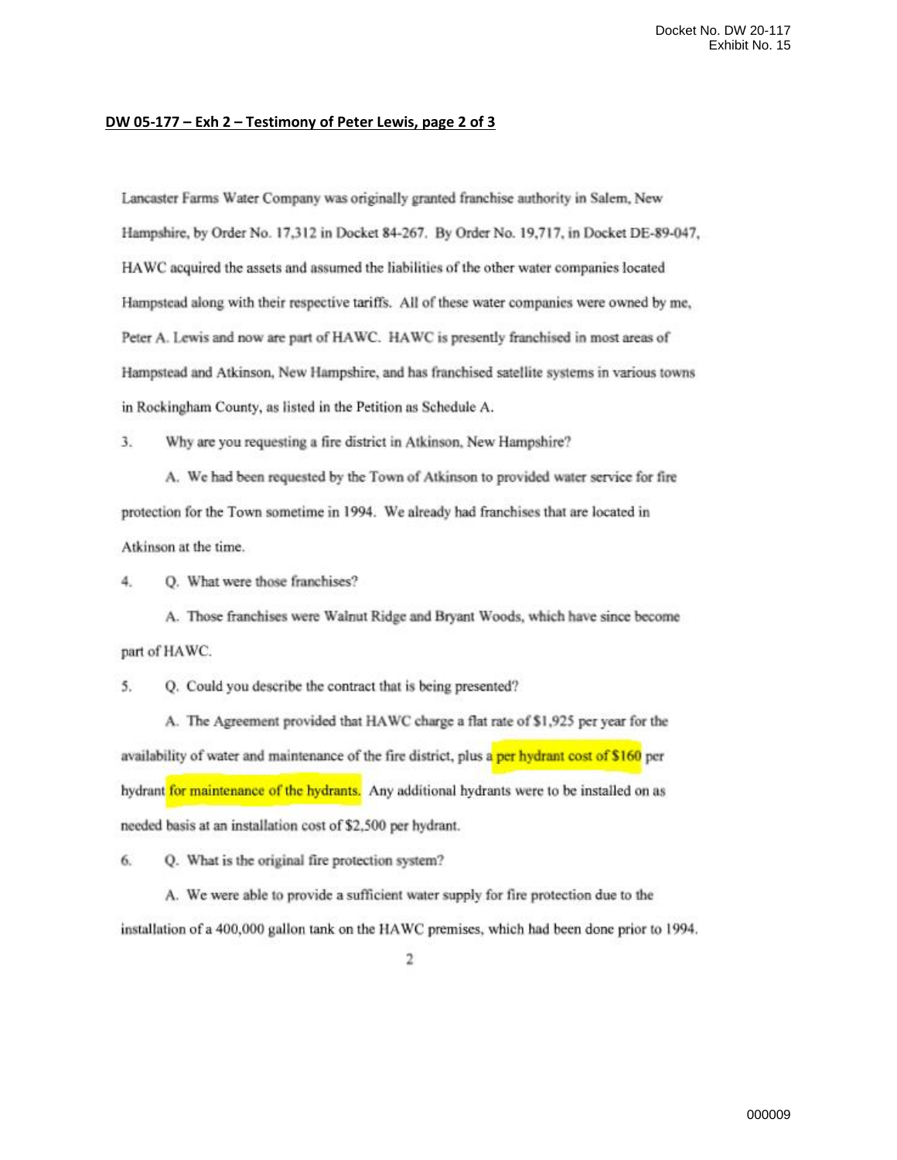#### DW 05-177 - Exh 2 - Testimony of Peter Lewis, page 2 of 3

Lancaster Farms Water Company was originally granted franchise authority in Salem, New Hampshire, by Order No. 17,312 in Docket 84-267. By Order No. 19,717, in Docket DE-89-047, HAWC acquired the assets and assumed the liabilities of the other water companies located Hampstead along with their respective tariffs. All of these water companies were owned by me, Peter A. Lewis and now are part of HAWC. HAWC is presently franchised in most areas of Hampstead and Atkinson, New Hampshire, and has franchised satellite systems in various towns in Rockingham County, as listed in the Petition as Schedule A.

 $3.$ Why are you requesting a fire district in Atkinson, New Hampshire?

A. We had been requested by the Town of Atkinson to provided water service for fire protection for the Town sometime in 1994. We already had franchises that are located in Atkinson at the time.

4. Q. What were those franchises?

A. Those franchises were Walnut Ridge and Bryant Woods, which have since become part of HAWC.

5. Q. Could you describe the contract that is being presented?

A. The Agreement provided that HAWC charge a flat rate of \$1,925 per year for the availability of water and maintenance of the fire district, plus a per hydrant cost of \$160 per hydrant for maintenance of the hydrants. Any additional hydrants were to be installed on as needed basis at an installation cost of \$2,500 per hydrant.

6. Q. What is the original fire protection system?

A. We were able to provide a sufficient water supply for fire protection due to the installation of a 400,000 gallon tank on the HAWC premises, which had been done prior to 1994.

2